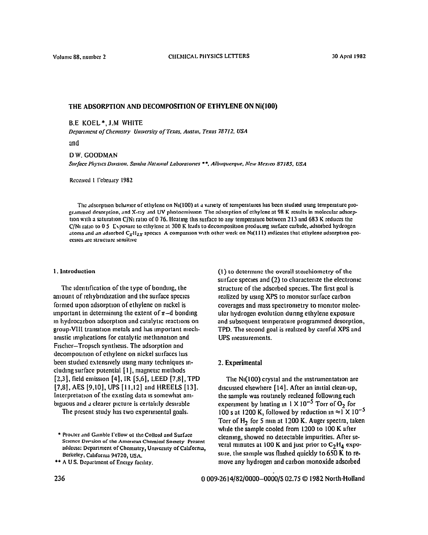# **THE ADSORPTION AND DECOMPOSITION OF ETHYLENE ON Ni(lOO)**

#### B.E KOEL\*, J.bl WHITE

*Department of Chemistry University of Texas, Austin, Texas 78712, USA* 

**and** 

D W. GOODMAN Surface Physics Division, Sandia National Laboratories \*\*, Albuquerque, New Mexico 87185, USA

Received I February 1982

The adsorption behavior of ethylene on Ni(100) at a variety of temperatures has been studied using temperature programmed desorption, and X-ray and UV photoemission The adsorption of ethylene at 98 K results in molecular adsorption with a saturation C/N<sub>1</sub> ratio of 0 76. Heating this surface to any temperature between 213 and 683 K reduces the **C/N1 rat10 to 0 5 C\posurc to crhylcnc at 300 I( Iwds to dccompositlon producmg surkce carbldc. adsorbed hydrogen**  atoms and an adsorbed C<sub>x</sub>H<sub>2x</sub> species. A comparison with other work on Ni(111) indicates that ethylene adsorption processes are structure sensitive

#### **1. Introduction**

The identification of the type of bonding, the amount of rehybridization and the surface species formed upon adsorption of ethylene on nickel is important in determining the extent of  $\pi$ -d bonding In hydrocarbon adsorption and catalytic reactions on group-VIII transition metals and has important mechanistic implications for catalytic methanation and Flschcr-Tropsch synthesis. The adsorption **and decomposrtion of** ethylene on nickel **surhccs** leas been studied extensively using many techniques includmgsurfacc potential [I], magnetic methods [2,3], field emission [4], IR [5,6], LEED [7,8], TPD  $[7,8]$ , AES  $[9,10]$ , UPS  $[11,12]$  and HREELS  $[13]$ . **Intcrpretatton of the existing data** IS somewhat ambiguous and a clearer picture is certainly desirable

The present study has two experimental goals.

**(I) to determme** the overall stolchiometry of the surface species and (2) to characterize the electromc structure of the adsorbed species. The first goal is realized by using XPS to momtor surface carbon **coverages and mass spectrometry to momtor molecular hydrogen evolution dunng ethylene exposure and** subsequent temperature programmed desorption, TPD. The **second goal is realized by careful** XPS **and UPS ineasuremcnts.** 

## **2. Experimental**

**The N1(100) crystal and the mstrumentatron are dlscussed elsewhere** [ **141.** After an imtial clean-up, the sample was routmely recleaned followmg each experiment by heating in  $1 \times 10^{-5}$  Torr of  $\tilde{O}_2$  for 100 s at 1200 K, followed by reduction  $\ln \approx \int N 10^{-5}$ Torr of H<sub>2</sub> for 5 min at 1200 K. Auger spectra, taken whde the sample **cooled from 1200 to 100 K after cleanmg, showed no detectable impurities. After se**veral minutes at 100 K and just prior to C<sub>2</sub>H<sub>4</sub> exposure, the sample was flashed quickly to 650 K to re**move any hydrogen and carbon monoxide adsorbed** 

**<sup>\*</sup> ProLter .md Cdmblc rcUo\w 01 the Collotd and SurfJce**  Science Division of the American Chemical Society Present address: Department of Chemistry, University of California, Bcrkcley, Califorma 94720, USA.

<sup>\*\*</sup> A U S. Department of Energy facility.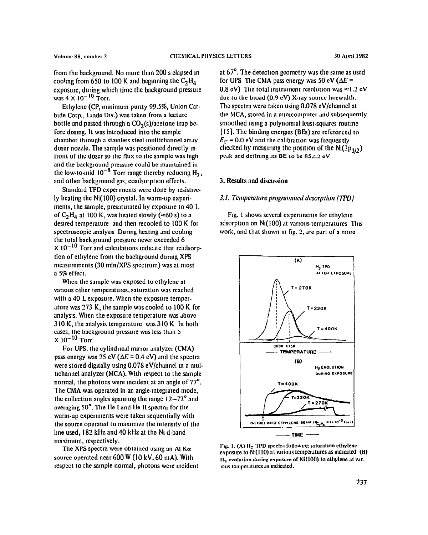**from** the background. **No more than 200 s clapsed m**  cooling from 650 to 100 K and beginning the  $C_2H_4$ **exposure, during which time the background pressure**   $was 4 \times 10^{-10}$  Torr.

Ethylene (CP, minimum purity 99.5%, Union Car**btde Corp., Ltndc Div.) was taken from a lccturc bottle and passed through a CO,(s)/acetone trap bcfore dosmg. It was introduced into the sample**  chamber through a stamless steel multichannel array doser nozzle. The sample was positioned directly in **front of the doser so the flux to the sample was lngh**  and the background pressure could be maintained in the low-to-mid  $10^{-8}$  Torr range thereby reducing  $H_2$ , **and other background gas, coadsorptton effects.** 

Standard TPD experiments were done by resistive**ly heating the Ni( 100) crystal. In warm-up cxperimerits, the sample, presaturated by exposure to 40 L**  of  $C_2H_4$  at 100 K, was heated slowly ( $\approx$  60 s) to a **destred temperature and then retooled to 100 K for**  spectroscopic analysis During heating and cooling **the total background pressure never exceeded 6**   $\times$  10<sup>-10</sup> Torr and calculations indicate that readsorp**tion of ethylene from the background dunng XPS measurements (30 min/XPS spectrum) was at most a 5% effect.** 

**When the sample was exposed to cthylenc at various other temperatures. saturation was reached with a 40 L exposure. When the exposure tempcrdture was 273 K, the sample was cooled to 100 K for analysts. When the exposure tempcraturc was dbovc 3 10 K, the analysis temperature was 3 IO K In both**  cases, the background pressure was less than 5  $\times 10^{-10}$  Torr.

For UPS, the cylindrical mirror analyzer (CMA) **pass energy was 25 eV (** $\Delta E = 0.4$  **eV) and the spectra** were stored digitally using 0.078 eV/channel in a mul**ttchnnnel analyzer (MCA). With respect to the sample normal, the photons were tnctdent at an angle of 77'. The CMA was operated in an angle-Integrated mode, the collection angles spannmg the range 12-72' and averaging 50'. The He** I **and He II spectra for the warm-up expermlents were taken sequentially with the source operated to maxtmtze the intenstty of the**  line used, 182 kHz and 40 kHz at the N<sub>I</sub> d-band **maximum, respectively.** 

**The XI'S spectra were obtained usmg an At Ka source operated near 600 W (IO kV, 60 mA). With respect to the sample normal, photons were Incident**  at 67<sup>°</sup>. The detection geometry was the same as used for UPS The CMA pass energy was 50 eV ( $\Delta E =$ **0.8 cV)** The total instrument resolution was  $\approx$ 1.2 eV due to the broad (0.9 eV) X-ray source linewidth. **The spectra were taken using 0.078 cV/channcl at**  the MCA, stored in a minicomputer and subsequently smoothed using a polynomial least-squares routine [ **151. The bindmg encrges (BEs) arc rcfcrcnccd to**   $E_r$  = 0.0 eV and the calibration was frequently checked by measuring the position of the  $Ni(2p_{3/2})$ **pc~k and dcfinrng IIS BE to be 852.2 eV** 

## **3. Results and discussion**

#### **3.1.** *Terrrperatwe prograrrwml dcsorptiort (TPDJ*

**FIN. I shows scvcral cxpermients for cthylcnc**  adsorption on N<sub>1</sub>(100) at various temperatures This work, and that shown in fig. 2, are part of a more



Fig. 1. (A)  $H_2$  TPD spectra following saturation ethylcne **exposure to N<sub>1</sub>(100) at various temperatures as indicated (B)** H<sub>2</sub> evolution during exposure of Ni(100) to ethylene at varlous **tcmpcrrlurcs** JS **mdicatcd.**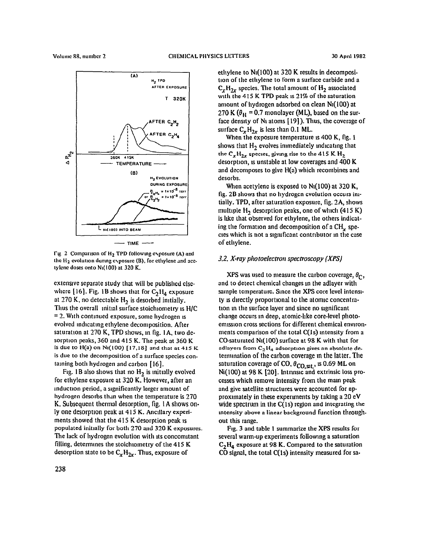



**Tlg 2 Comparison of Hz TPD followmg c\Posure (A) and**  the H<sub>2</sub> evolution during exposure (B), for ethylene and ace**tylcnc doses onto NI( 100) at 320 K.** 

extensive separate study that will be published clsewhere  $[16]$ . Fig. 1B shows that for  $C_2H_4$  exposure at 270 K, no detectable  $H<sub>2</sub>$  is desorbed initially. Thus the overall initial surface stoichiometry is H/C = 2. With continued exposure, some hydrogen is evolved mdlcatmg ethylene decomposition. After saturation at 270 K, TPD **shows,** m fig. IA, two desorption **peaks, 360 and 415** K. The **peak at 360** K is due to **H**(a) on N<sub>1</sub>(100) [17,18] and that at 415 K **is due to the decomposition** of a surface species containing both hydrogen and carbon [16].

Fig. 1B also shows that no H<sub>2</sub> is mittally evolved for ethylene exposure at 320 K. However, after an mduction period, a significantly larger amount of hydrogen desorbs than when the temperature is 270 K. Subsequent thermal desorption, fig. I A shows only one desorption peak at 415 K. Ancillary experiments showed that the 415 K desorption peak **IS**  populated initially for both 270 and 320 K exposures. **The** lack of hydrogen evolution with Its concomitant filling, determines the stoichrometry of the 415 K desorption state to be  $C_xH_{2x}$ . Thus, exposure of

ethylene to N1(100) at 320 K results in decomposition of the ethylene to form a surface carbide and a  $C_xH_{2x}$  species. The total amount of  $H_2$  associated with the 415 K TPD peak is 21% of the saturation amount of hydrogen adsorbed on clean NI( 100) at 270 K ( $\theta_H$  = 0.7 monolayer (ML), based on the surface density of Ni atoms [19]). Thus, the coverage of surface  $C_xH_{2x}$  is less than 0.1 ML.

When the exposure temperature is 400 K, fig. 1 shows that H<sub>2</sub> evolves immediately indicating that the  $C_xH_{2x}$  species, giving rise to the 415 K  $H_2$ desorption, is unstable at low coverages and 400 K and decomposes to give H(a) which recombines and desorbs.

When acetylene is exposed to  $Ni(100)$  at 320 K, fig. 2B SIIOWS that no hydrogen evolution occurs imtially. TPD, after saturation exposure, fig. ?A, **shows**  multiple  $H_2$  desorption peaks, one of which (415 K) is hke that observed for ethylene, the others indicating the formation and decomposition of a CH<sub>-spe-</sub> cles which is not a slgntficant contributor m the case of ethylene.

### 3.2. *X-ray photoelectrorl spectroscopy (XPSJ*

**XPS** was used to measure the carbon coverage,  $\theta_{\text{C}}$ , and to detect chemical changes In the adlayer with sample temperature. Since the XPS core level intensity is directly proportional to the atomic concentration m the surface layer and since no significant change occurs *In* deep, atomic-hke core-level photoemlsslon cross sections for different chemical environments comparison of the total C(Is) Intensity from a CO-saturated N1(100) surface at 98 K with that for adlayers from C<sub>2</sub>H<sub>4</sub> adsorption gives an absolute determnation of the carbon coverage m the latter. The saturation coverage of CO,  $\theta_{CO \text{ cut}}$ , is 0.69 ML on Ni(100) at 98 K 1201. Intrinsic and extrinsic loss processes which remove intensity from the mam peak and give satellite structures were accounted for approximately in these experunents by taking a 20 eV wide spectrum in the C(ls) **region and integrating the mtensity above a linear background function throughout this range.** 

Fig. **3** and table 1 summarize the XPS results **for**  several warm-up experiments followmg a saturation  $C_2H_4$  exposure at 98 K. Compared to the saturation CO signal, the total C(ls) intensity measured for sa-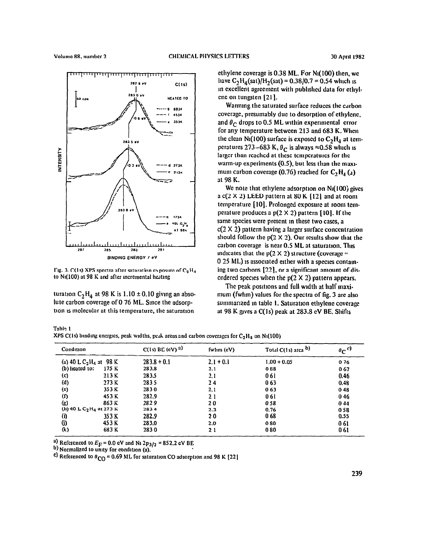

**t?g. 3. C(ls) XPS** spectra alter **saturation** clposurc **of CzHJ**  to N<sub>1</sub>(100) at 98 K and after incremental heating

turation  $C_2H_4$  at 98 K is  $1.10 \pm 0.10$  giving an absolute carbon coverage of 0 76 ML. Since the adsorption is molecular at this temperature, the saturation

ethylene coverage is 0.38 ML. For NI( 100) then, WC have  $C_2H_4(sat)/H_2(sat) = 0.38/0.7 = 0.54$  which is in excellent agreement with published data for ethylene on tungsten [21].

Warming the saturated surface rcduccs the carbon coverage, presumably due to desorption of ethylcnc, and  $\theta_C$  drops to 0.5 ML within experimental error for any temperature between 213 and 683 K. When the clean N<sub>1</sub>(100) surface is exposed to  $C_2H_4$  at temperatures 273-683 K,  $\theta_C$  is always  $\approx$ 0.58 which is larger than **reached** at **these tempcraturcs for the**  warm-up experiments  $(0.5)$ , but less than the maximum carbon coverage (0.76) reached for  $C_2H_4(u)$ at 98 K.

We note that ethylene adsorption on N<sub>1</sub>(100) gives a  $c(2 \times 2)$  LEED pattern at 80 K [12] and at room temperature [10]. Prolonged exposure at room temperature produces a  $p(2 \times 2)$  pattern [10]. If the same species were present in these two cases, a  $c(2 \times 2)$  pattern having a larger surface concentration should follow the  $p(2 \times 2)$ . Our results show that the carbon coverage is near 0.5 ML at saturation. This indicates that the  $p(2 \times 2)$  structure (coverage = 0 25 ML) is associated either with a species containing two carbons [32], or a significant amount of disordered species when the  $p(2 \times 2)$  pattern appears.

The peak positions and full width at half maximum (fwhm) values for the spectra of fig. 3 are also summarized in table 1. Saturation ethylene coverage at 98 K gives a  $C(1s)$  peak at 283.8 cV BE. Shifts

Table 1 XPS C(1s) binding energies, peak widths, peak areas and carbon coverages for C<sub>2</sub>H<sub>4</sub> on Ni(100)

| Condition<br>(a) 40 L C <sub>2</sub> H <sub>4</sub> at 98 K<br>$(b)$ heated to:<br>175 K |       | $C(1s)$ BC (cV) $^{3}$ | fwhm (eV)          | Total $C(1s)$ area $b)$ | $\mathfrak{o}_C$ <sup>c)</sup> |
|------------------------------------------------------------------------------------------|-------|------------------------|--------------------|-------------------------|--------------------------------|
|                                                                                          |       | $283.8 + 0.1$<br>283.8 | $2.1 + 0.1$<br>2.1 | $1,00 + 0.05$<br>088    | 076<br>067                     |
|                                                                                          |       |                        |                    |                         |                                |
| (d)                                                                                      | 273 K | 2835                   | 24                 | 063                     | 0.48                           |
| (c)                                                                                      | 353 K | 2830                   | 2.1                | 063                     | 048                            |
| (f)                                                                                      | 453 K | 282.9                  | 21                 | 061                     | 046                            |
| (g)                                                                                      | 863 K | 2829                   | 20                 | 058                     | 0.44                           |
| (h) 40 L C <sub>2</sub> H <sub>4</sub> at 273 K                                          |       | 2834                   | 2.3                | 0.76                    | 0.58                           |
| O)                                                                                       | 353 K | 282.9                  | 20                 | 068                     | 0.55                           |
| G)                                                                                       | 453 K | 283.0                  | 2.0                | 080                     | 061                            |
| $\left( k\right)$                                                                        | 683 K | 2830                   | 21                 | 080                     | 061                            |

 $^{4}$ ) Referenced to  $E_F = 0.0$  eV and Ni  $2p_3/2 = 852.2$  eV BE

**b, Normalized IO unity for condlbon (a).** 

<sup>c</sup>) Referenced to  $\theta_{CO}$  = 0.69 ML for saturation CO adsorption and 98 K [22]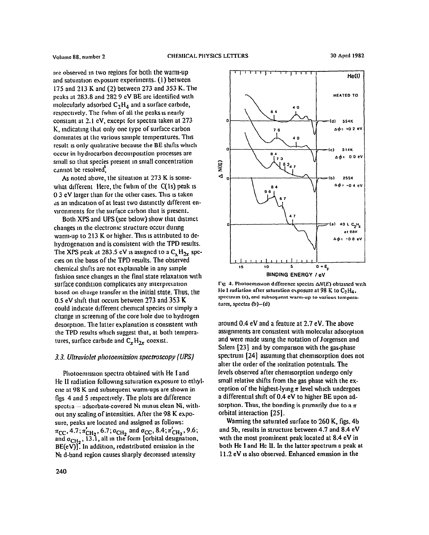are observed in two regions for both the warm-up **and saturation exposure experiments. (I) between 175 and 213 K and (2) between 273 and 353 K. The peaks a1 283.S and 282 9 cV BE are identified with molecularly adsorbed C,H, and a surface carblde, respccnvely. The fwlm of all the peaks IS nearly constant at 2.** I **cV, except for spectra taken at 273 K, mdicatmg tlut only one type of surface carbon dominates at tlic various sample temperalures. This**  result is only qualitative because the BE shifts which **occur in hydrocarbon decomposition processes are mall so that species present in small concentration**  cannot be resolved.

**As noted above, the situation at 273 K is somewhat different Here, the fwhm of the C(1s) peak is 0 3 eV larger than for the other cases. This IS taken JS an mdlcatlon of at lcast two dlstmctly dfferent envlronments for the surface carbon that is present.** 

**Both XPS and UPS (see below) show that distinct changes m the elcctronlc structure occur durmg**  warm-up to 213 K or higher. This is attributed to de**hydrogenation and is consistent with the TPD results.**  The XPS peak at 283.5 cV is assigned to a C, H<sub>2r</sub> spe**cies on the basis of the TPD results. The observed**  chemical shifts are not explainable in any simple **fashion smce changes m the final state relaxation with**  surface condition complicates any interpretation **based on charge transfer m the initial state. Thus, the 0.5 eV shift that occurs between 273 and 353 K could indicate different chemical species or simply a change m screenmg of the core IIOIC due to hydrogen desorption. The latter explanation is consistent with the TPD results which suggest that, at both tempern**tures, surface carbide and  $C_xH_{2x}$  coexist.

## **3.3.** *Ultraviolet plrotoo~~issioir spectroscopy (UPS)*

**Photoemlsslon spectra obtained with He** I **and Hc II radiation followmg saturation exposure to ethyl-**CIIC at **98 K and subsequent warm-ups are shown in figs 4 and 5 respectively. The plots are difference spcctla - adsorbate-covered NI mmus clean Ni, without any scaling of intensities. After the 98 K exposure, peaks are located and assigned as follows:**   $\pi_{\text{CC}}$ , 4.7;  $\pi_{\text{CH}_2}$ , 6.7;  $\sigma_{\text{CH}_2}$  and  $\sigma_{\text{CC}}$ , 8.4;  $\pi_{\text{CH}_2}$ , 9.6 and  $\sigma_{CH_2}$ , 13.1, all in the form [orbital designation. **BE(eV)]. In addition, redrstributed emission in the NI d-band region causes sharply decreased intensity** 



 $\Gamma$ **g** 4. Photoemission difference spectra ∆N(E) obtained with He I radiation after saturation exposure at 98 K to  $C_2H_d$ , spectrum (a), and subsequent warm-up to various tempera**turc?s, spectra (b)-(d)** 

**around 0.4 eV and a feature at 2.7 eV. The above**  assignments are consistent with molecular adsorption **and were made usmg the notation of Jorgensen and Salem [23] and by comparison with the gas-phase spectrum [24] assummg that chemlsorption does not alter the order of the Ionization potentials. The levels observed after chemaorption undergo only small relative shifts from the gas phase with the ex**ception of the highest-lying  $\pi$  level which undergoes **a differential shift of 0.4 eV to higher BE upon ad**sorption. Thus, the bonding is primarily due to a  $\pi$ **orbital interaction [25].** 

**Wamling the saturated surface to 260 K, figs. 4b and Sb, results in structure between 4.7 and 8.4 eV wth the most prominent peak located at 8.4 eV in both He** I **and He II. In the latter spectrum a peak at 11.2 eV IS also observed. Enhzmced emission in the**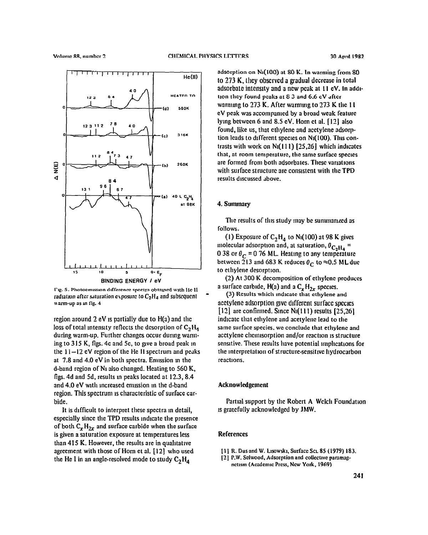

**I-I& 5. Photocmssmn dlffcercnce spccuz~ obtnmcd with lie 11**   $r_{\text{add}}$  atter saturation exposure to  $C_2H_4$  and subsequent **\\ arm-up ill 111 fig. 1** 

region **around 2** eV IS partially due to H(a) and the loss of total intensity reflects the desorption of  $C_2H_a$ during warm-up. Further changes occur durmg warming to 315 K, figs. 4c and 5c, to give a broad peak in **the 1** l-12 eV **region of the** He II **spectrum and pe&s at 7.8 and 4.0** eV in both spectra. Emission m the d-band **region of Nt also changed. Heating to 560 K,**  figs. 4d and 5d, results in peaks located at 12.3, 8.4 and 4.0 eV wth increased emusion m the d-band region. This spectrum is characteristic of surface carbide.

It **is drfficult to interpret these spectra m detail, especially** since the TPD results mdlcatc the presence of both  $C_xH_{2x}$  and surface carbide when the surface is given a saturation exposure at temperatures less than 415 K. However, the results are in qualitative agreement with those **of** Horn et al. [ 121 who used the He I in an angle-resolved mode to study  $C_2H_4$ 

**ndsorption on Na(100) ot 80 K. In warming from SO 10** 273 K, **they obscrvcd a gradual decrease in total adsorbatc intcnstty and a new peak** at I I eV. in addItion they found peaks at 8.3 and 6.6 eV after warmmg lo 273 K. After warmmg to 273 K the I I CV peak was accompanied by a broad weak feature lymg between 6 and 8.5 eV. Horn et al. [ 121 also found, like us, that ethylene and acetylene adsorption leads to different species on Ni(100). This contrasts with work on  $N_1(111)$  [25,26] which indicates that, at room temperature, the same surface species are formed from both adsorbates. These variations with surface structure are consistent with the TPD results dlscusscd above.

### 4. Summary

The results of this study may be summarized as follows.

(1) Exposure of  $C_2H_4$  to N<sub>1</sub>(100) at 98 K gives molecular adsorption and, at saturation,  $\theta_{C_2H_4}$  = 0 38 or  $\theta_C$  = 0 76 ML. Heating to any temperature between 213 and 683 K reduces  $\theta_C$  to  $\approx$ 0.5 ML due to ethylene desorption.

(2) At 300 K decomposition of ethylene produces a surface carbide,  $H(a)$  and a  $C_xH_{2x}$  species.

\_ (3) **Results which mdlcarc that ethylene and**  acctylene adsorption give different surface species  $[12]$  are confirmed. Since N<sub>1</sub> $(111)$  results  $[25,26]$ indlcatc that cthylcne and acetylcnc lead to the **same surface species, we conclude that ethylene and**  acetylene chemisorption and/or reaction is structure sensitive. These results have potential implications for the interpretation of structure-sensitive hydrocarbon reactions.

## Acknowledgement

Partial support by the Robert A Welch Foundation 1s gratefully acknowledged by JMW.

# References

- [I I **R. Dus and W. Lwwsk~. Surface SCL 85 (1979) 183.**
- [2] P.W. Selwood, Adsorption and collective paramagnctism (Academic Press, New York, 1969)